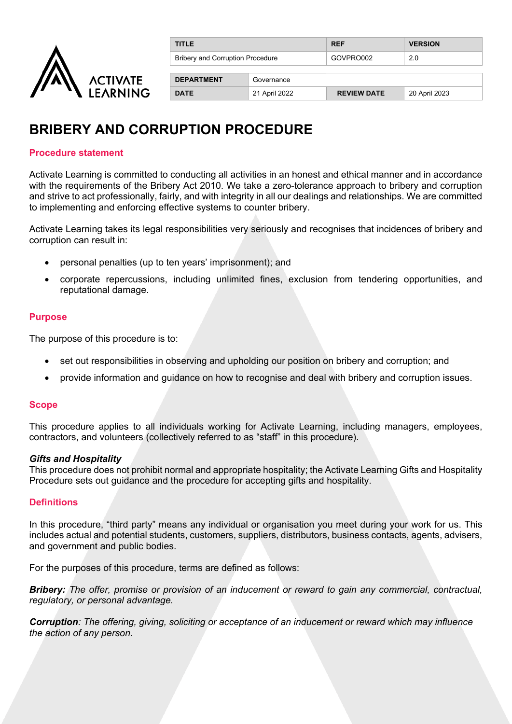

| <b>TITLE</b>                            |               | <b>REF</b>         | <b>VERSION</b> |
|-----------------------------------------|---------------|--------------------|----------------|
| <b>Bribery and Corruption Procedure</b> |               | GOVPRO002          | 2.0            |
| <b>DEPARTMENT</b>                       | Governance    |                    |                |
| <b>DATE</b>                             | 21 April 2022 | <b>REVIEW DATE</b> | 20 April 2023  |

# **BRIBERY AND CORRUPTION PROCEDURE**

#### **Procedure statement**

Activate Learning is committed to conducting all activities in an honest and ethical manner and in accordance with the requirements of the Bribery Act 2010. We take a zero-tolerance approach to bribery and corruption and strive to act professionally, fairly, and with integrity in all our dealings and relationships. We are committed to implementing and enforcing effective systems to counter bribery.

Activate Learning takes its legal responsibilities very seriously and recognises that incidences of bribery and corruption can result in:

- personal penalties (up to ten years' imprisonment); and
- corporate repercussions, including unlimited fines, exclusion from tendering opportunities, and reputational damage.

#### **Purpose**

The purpose of this procedure is to:

- set out responsibilities in observing and upholding our position on bribery and corruption; and
- provide information and guidance on how to recognise and deal with bribery and corruption issues.

#### **Scope**

This procedure applies to all individuals working for Activate Learning, including managers, employees, contractors, and volunteers (collectively referred to as "staff" in this procedure).

#### *Gifts and Hospitality*

This procedure does not prohibit normal and appropriate hospitality; the Activate Learning Gifts and Hospitality Procedure sets out guidance and the procedure for accepting gifts and hospitality.

#### **Definitions**

In this procedure, "third party" means any individual or organisation you meet during your work for us. This includes actual and potential students, customers, suppliers, distributors, business contacts, agents, advisers, and government and public bodies.

For the purposes of this procedure, terms are defined as follows:

*Bribery: The offer, promise or provision of an inducement or reward to gain any commercial, contractual, regulatory, or personal advantage.*

*Corruption: The offering, giving, soliciting or acceptance of an inducement or reward which may influence the action of any person.*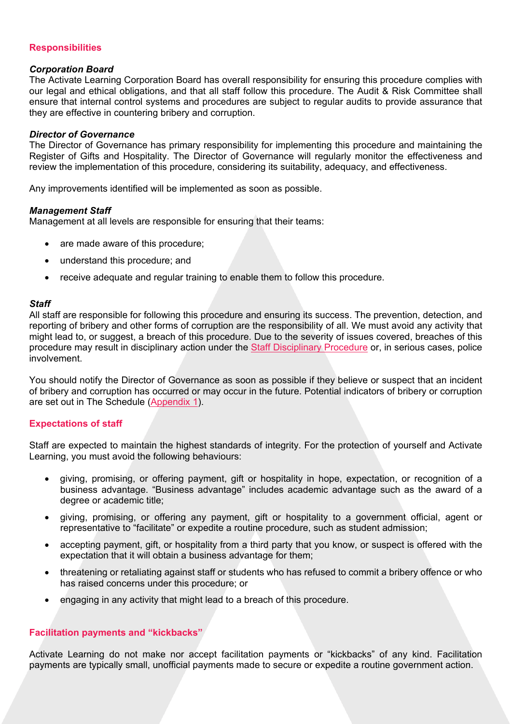#### **Responsibilities**

#### *Corporation Board*

The Activate Learning Corporation Board has overall responsibility for ensuring this procedure complies with our legal and ethical obligations, and that all staff follow this procedure. The Audit & Risk Committee shall ensure that internal control systems and procedures are subject to regular audits to provide assurance that they are effective in countering bribery and corruption.

#### *Director of Governance*

The Director of Governance has primary responsibility for implementing this procedure and maintaining the Register of Gifts and Hospitality. The Director of Governance will regularly monitor the effectiveness and review the implementation of this procedure, considering its suitability, adequacy, and effectiveness.

Any improvements identified will be implemented as soon as possible.

#### *Management Staff*

Management at all levels are responsible for ensuring that their teams:

- are made aware of this procedure;
- understand this procedure; and
- receive adequate and regular training to enable them to follow this procedure.

#### *Staff*

All staff are responsible for following this procedure and ensuring its success. The prevention, detection, and reporting of bribery and other forms of corruption are the responsibility of all. We must avoid any activity that might lead to, or suggest, a breach of this procedure. Due to the severity of issues covered, breaches of this procedure may result in disciplinary action under the [Staff Disciplinary Procedure](https://activatelearning.sharepoint.com/sites/Policies/Shared%20Documents/Disciplinary%20Procedure.pdf) or, in serious cases, police involvement.

You should notify the Director of Governance as soon as possible if they believe or suspect that an incident of bribery and corruption has occurred or may occur in the future. Potential indicators of bribery or corruption are set out in The Schedule [\(Appendix 1\)](#page-4-0).

#### **Expectations of staff**

Staff are expected to maintain the highest standards of integrity. For the protection of yourself and Activate Learning, you must avoid the following behaviours:

- giving, promising, or offering payment, gift or hospitality in hope, expectation, or recognition of a business advantage. "Business advantage" includes academic advantage such as the award of a degree or academic title;
- giving, promising, or offering any payment, gift or hospitality to a government official, agent or representative to "facilitate" or expedite a routine procedure, such as student admission;
- accepting payment, gift, or hospitality from a third party that you know, or suspect is offered with the expectation that it will obtain a business advantage for them;
- threatening or retaliating against staff or students who has refused to commit a bribery offence or who has raised concerns under this procedure; or
- engaging in any activity that might lead to a breach of this procedure.

#### **Facilitation payments and "kickbacks"**

Activate Learning do not make nor accept facilitation payments or "kickbacks" of any kind. Facilitation payments are typically small, unofficial payments made to secure or expedite a routine government action.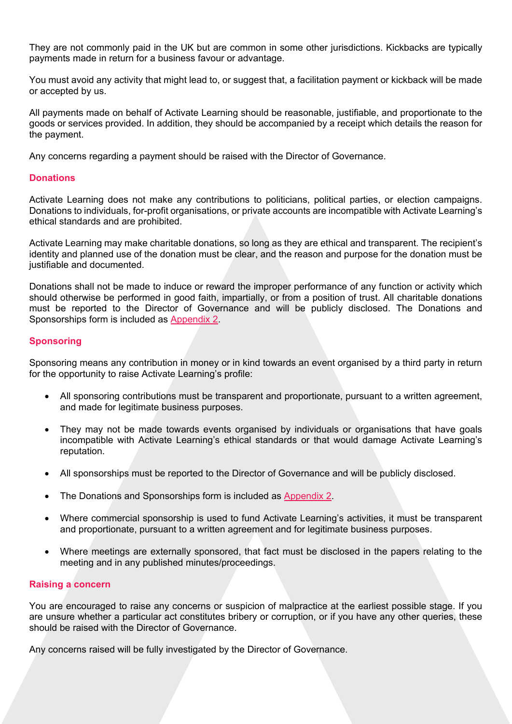They are not commonly paid in the UK but are common in some other jurisdictions. Kickbacks are typically payments made in return for a business favour or advantage.

You must avoid any activity that might lead to, or suggest that, a facilitation payment or kickback will be made or accepted by us.

All payments made on behalf of Activate Learning should be reasonable, justifiable, and proportionate to the goods or services provided. In addition, they should be accompanied by a receipt which details the reason for the payment.

Any concerns regarding a payment should be raised with the Director of Governance.

#### **Donations**

Activate Learning does not make any contributions to politicians, political parties, or election campaigns. Donations to individuals, for-profit organisations, or private accounts are incompatible with Activate Learning's ethical standards and are prohibited.

Activate Learning may make charitable donations, so long as they are ethical and transparent. The recipient's identity and planned use of the donation must be clear, and the reason and purpose for the donation must be justifiable and documented.

Donations shall not be made to induce or reward the improper performance of any function or activity which should otherwise be performed in good faith, impartially, or from a position of trust. All charitable donations must be reported to the Director of Governance and will be publicly disclosed. The Donations and Sponsorships form is included as [Appendix 2.](#page-5-0)

#### **Sponsoring**

Sponsoring means any contribution in money or in kind towards an event organised by a third party in return for the opportunity to raise Activate Learning's profile:

- All sponsoring contributions must be transparent and proportionate, pursuant to a written agreement, and made for legitimate business purposes.
- They may not be made towards events organised by individuals or organisations that have goals incompatible with Activate Learning's ethical standards or that would damage Activate Learning's reputation.
- All sponsorships must be reported to the Director of Governance and will be publicly disclosed.
- The Donations and Sponsorships form is included as [Appendix 2.](#page-5-0)
- Where commercial sponsorship is used to fund Activate Learning's activities, it must be transparent and proportionate, pursuant to a written agreement and for legitimate business purposes.
- Where meetings are externally sponsored, that fact must be disclosed in the papers relating to the meeting and in any published minutes/proceedings.

#### **Raising a concern**

You are encouraged to raise any concerns or suspicion of malpractice at the earliest possible stage. If you are unsure whether a particular act constitutes bribery or corruption, or if you have any other queries, these should be raised with the Director of Governance.

Any concerns raised will be fully investigated by the Director of Governance.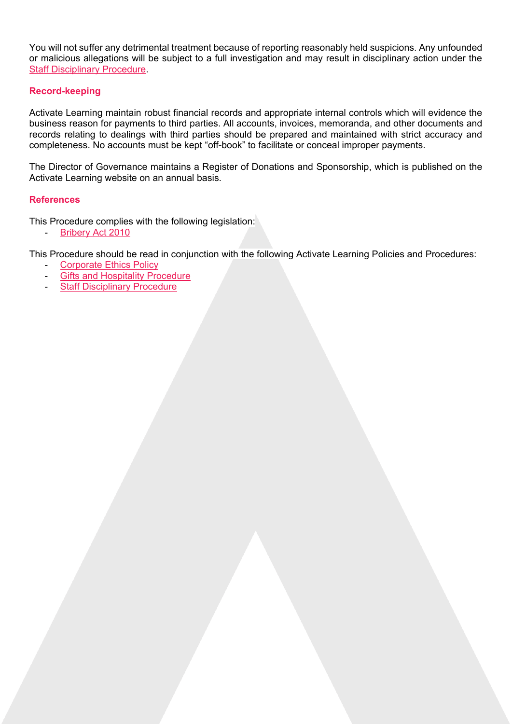You will not suffer any detrimental treatment because of reporting reasonably held suspicions. Any unfounded or malicious allegations will be subject to a full investigation and may result in disciplinary action under the [Staff Disciplinary Procedure.](https://activatelearning.sharepoint.com/sites/Policies/Shared%20Documents/Disciplinary%20Procedure.pdf)

#### **Record-keeping**

Activate Learning maintain robust financial records and appropriate internal controls which will evidence the business reason for payments to third parties. All accounts, invoices, memoranda, and other documents and records relating to dealings with third parties should be prepared and maintained with strict accuracy and completeness. No accounts must be kept "off-book" to facilitate or conceal improper payments.

The Director of Governance maintains a Register of Donations and Sponsorship, which is published on the Activate Learning website on an annual basis.

#### **References**

This Procedure complies with the following legislation:

[Bribery Act 2010](http://www.legislation.gov.uk/ukpga/2010/23/contents)

This Procedure should be read in conjunction with the following Activate Learning Policies and Procedures:

- [Corporate Ethics Policy](https://activatelearning.sharepoint.com/sites/Policies/Shared%20Documents/Corporate%20Ethics%20Policy.pdf)
- **[Gifts and Hospitality Procedure](https://activatelearning.sharepoint.com/sites/Policies/Shared%20Documents/Gifts%20and%20Hospitality%20Procedure.pdf?)**
- **[Staff Disciplinary Procedure](https://activatelearning.sharepoint.com/sites/Policies/Shared%20Documents/Disciplinary%20Procedure.pdf)**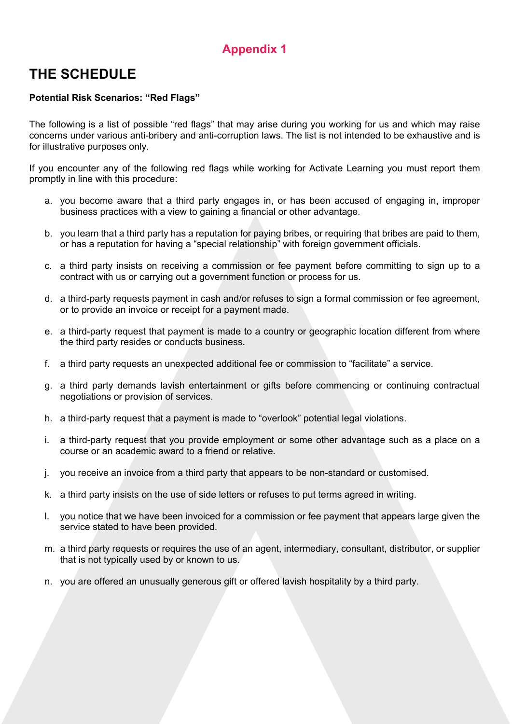## **Appendix 1**

## <span id="page-4-0"></span>**THE SCHEDULE**

#### **Potential Risk Scenarios: "Red Flags"**

The following is a list of possible "red flags" that may arise during you working for us and which may raise concerns under various anti-bribery and anti-corruption laws. The list is not intended to be exhaustive and is for illustrative purposes only.

If you encounter any of the following red flags while working for Activate Learning you must report them promptly in line with this procedure:

- a. you become aware that a third party engages in, or has been accused of engaging in, improper business practices with a view to gaining a financial or other advantage.
- b. you learn that a third party has a reputation for paying bribes, or requiring that bribes are paid to them, or has a reputation for having a "special relationship" with foreign government officials.
- c. a third party insists on receiving a commission or fee payment before committing to sign up to a contract with us or carrying out a government function or process for us.
- d. a third-party requests payment in cash and/or refuses to sign a formal commission or fee agreement, or to provide an invoice or receipt for a payment made.
- e. a third-party request that payment is made to a country or geographic location different from where the third party resides or conducts business.
- f. a third party requests an unexpected additional fee or commission to "facilitate" a service.
- g. a third party demands lavish entertainment or gifts before commencing or continuing contractual negotiations or provision of services.
- h. a third-party request that a payment is made to "overlook" potential legal violations.
- i. a third-party request that you provide employment or some other advantage such as a place on a course or an academic award to a friend or relative.
- j. you receive an invoice from a third party that appears to be non-standard or customised.
- k. a third party insists on the use of side letters or refuses to put terms agreed in writing.
- l. you notice that we have been invoiced for a commission or fee payment that appears large given the service stated to have been provided.
- m. a third party requests or requires the use of an agent, intermediary, consultant, distributor, or supplier that is not typically used by or known to us.
- n. you are offered an unusually generous gift or offered lavish hospitality by a third party.